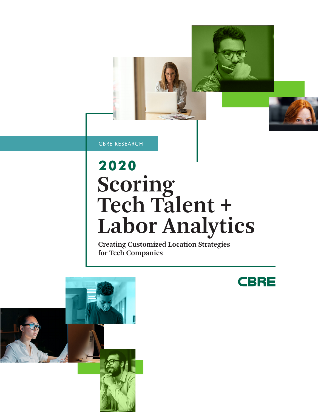CBRE RESEARCH

## **Scoring Tech Talent + Labor Analytics 2020**

**CBRE** 

**Creating Customized Location Strategies for Tech Companies**

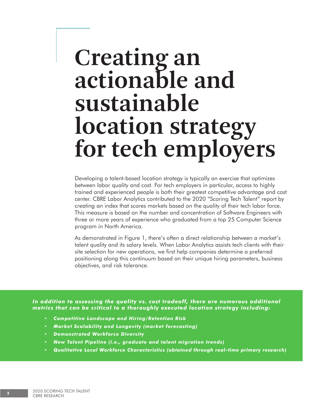## **Creating an actionable and sustainable location strategy for tech employers**

Developing a talent-based location strategy is typically an exercise that optimizes between labor quality and cost. For tech employers in particular, access to highly trained and experienced people is both their greatest competitive advantage and cost center. CBRE Labor Analytics contributed to the 2020 "Scoring Tech Talent" report by creating an index that scores markets based on the quality of their tech labor force. This measure is based on the number and concentration of Software Engineers with three or more years of experience who graduated from a top 25 Computer Science program in North America.

As demonstrated in Figure 1, there's often a direct relationship between a market's talent quality and its salary levels. When Labor Analytics assists tech clients with their site selection for new operations, we first help companies determine a preferred positioning along this continuum based on their unique hiring parameters, business objectives, and risk tolerance.

*In addition to assessing the quality vs. cost tradeoff, there are numerous additional metrics that can be critical to a thoroughly executed location strategy including:*

- *• Competitive Landscape and Hiring/Retention Risk*
- *• Market Scalability and Longevity (market forecasting)*
- *• Demonstrated Workforce Diversity*
- *• New Talent Pipeline (i.e., graduate and talent migration trends)*
- *• Qualitative Local Workforce Characteristics (obtained through real-time primary research)*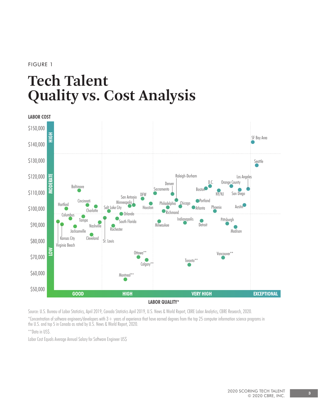#### FIGURE 1

### **Tech Talent Quality vs. Cost Analysis**



Source: U.S. Bureau of Labor Statistics, April 2019, Canada Statistics April 2019, U.S. News & World Report, CBRE Labor Analytics, CBRE Research, 2020. \*Concentration of software engineers/developers with 3+ years of experience that have earned degrees from the top 25 computer information science programs in the U.S. and top 5 in Canada as rated by U.S. News & World Report, 2020.

\*\*Data in US\$.

Labor Cost Equals Average Annual Salary for Software Engineer US\$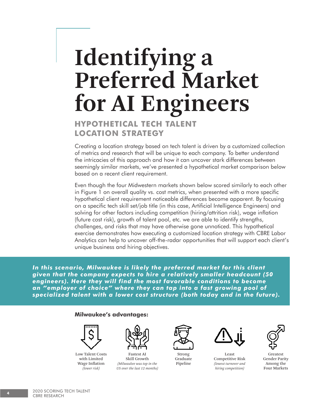# **Identifying a Preferred Market for AI Engineers**

### **HYPOTHETICAL TECH TALENT LOCATION STRATEGY**

Creating a location strategy based on tech talent is driven by a customized collection of metrics and research that will be unique to each company. To better understand the intricacies of this approach and how it can uncover stark differences between seemingly similar markets, we've presented a hypothetical market comparison below based on a recent client requirement.

Even though the four Midwestern markets shown below scored similarly to each other in Figure 1 on overall quality vs. cost metrics, when presented with a more specific hypothetical client requirement noticeable differences become apparent. By focusing on a specific tech skill set/job title (in this case, Artificial Intelligence Engineers) and solving for other factors including competition (hiring/attrition risk), wage inflation (future cost risk), growth of talent pool, etc. we are able to identify strengths, challenges, and risks that may have otherwise gone unnoticed. This hypothetical exercise demonstrates how executing a customized location strategy with CBRE Labor Analytics can help to uncover off-the-radar opportunities that will support each client's unique business and hiring objectives.

*In this scenario, Milwaukee is likely the preferred market for this client given that the company expects to hire a relatively smaller headcount (50 engineers). Here they will find the most favorable conditions to become an "employer of choice" where they can tap into a fast growing pool of specialized talent with a lower cost structure (both today and in the future).*

#### **Milwaukee's advantages:**



Low Talent Costs with Limited Wage Inflation *(lower risk)*



Fastest AI Skill Growth *(Milwaukee was top in the US over the last 12 months)*



Strong Graduate Pipeline



Least Competitive Risk *(lowest turnover and hiring competition)*



Greatest Gender Parity Among the Four Markets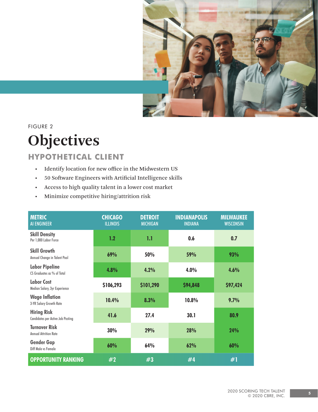

FIGURE 2

## **Objectives**

### **HYPOTHETICAL CLIENT**

- Identify location for new office in the Midwestern US
- 50 Software Engineers with Artificial Intelligence skills
- Access to high quality talent in a lower cost market
- Minimize competitive hiring/attrition risk

| <b>METRIC</b><br><b>AI ENGINEER</b>                            | <b>CHICAGO</b><br><b>ILLINOIS</b> | <b>DETROIT</b><br><b>MICHIGAN</b> | <b>INDIANAPOLIS</b><br><b>INDIANA</b> | <b>MILWAUKEE</b><br><b>WISCONSIN</b> |
|----------------------------------------------------------------|-----------------------------------|-----------------------------------|---------------------------------------|--------------------------------------|
| <b>Skill Density</b><br>Per 1,000 Labor Force                  | 1.2                               | 1.1                               | 0.6                                   | 0.7                                  |
| <b>Skill Growth</b><br>Annual Change in Talent Pool            | 69%                               | 50%                               | 59%                                   | 93%                                  |
| <b>Labor Pipeline</b><br>CS Graduates as % of Total            | 4.8%                              | 4.2%                              | 4.0%                                  | 4.6%                                 |
| <b>Labor Cost</b><br>Median Salary, 3yr Experience             | \$106,293                         | \$101,290                         | \$94,848                              | \$97,424                             |
| <b>Wage Inflation</b><br>3-YR Salary Growth Rate               | 10.4%                             | 8.3%                              | 10.8%                                 | 9.7%                                 |
| <b>Hiring Risk</b><br><b>Candidates per Active Job Posting</b> | 41.6                              | 27.4                              | 30.1                                  | 80.9                                 |
| <b>Turnover Risk</b><br><b>Annual Attrition Rate</b>           | 30%                               | 29%                               | 28%                                   | 24%                                  |
| <b>Gender Gap</b><br>Diff Male vs Female                       | 60%                               | 64%                               | 62%                                   | 60%                                  |
| <b>OPPORTUNITY RANKING</b>                                     | #2                                | #3                                | #4                                    | #1                                   |